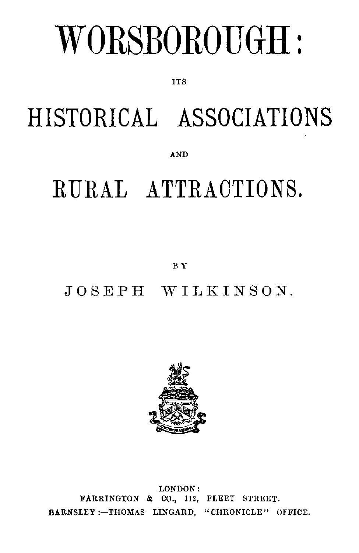# WORSBOROUGH:

**TTS** 

# HISTORICAL ASSOCIATIONS

AND

## RURAL ATTRACTIONS.

BY

JOSEPH WILKINSON.



LONDON: FARRINGTON & CO., 112, FLEET STREET. BARNSLEY :- THOMAS LINGARD, "CHRONICLE" OFFICE.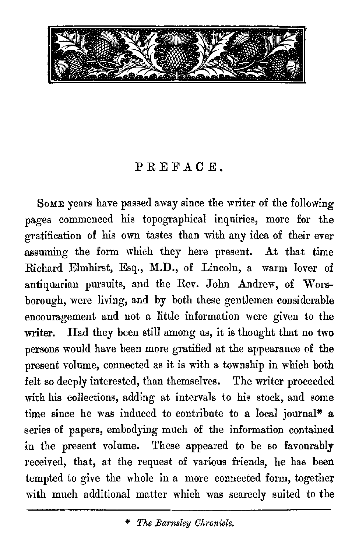

### PREFACE.

Some years have passed away since the writer of the following pages commenced his topographical inquiries, more for the gratification of his own tastes than with any idea of their ever assuming the form which they here present. At that time Richard Elmhirst, Esq., M.D., of Lincoln, a warm lover of antiquarian pursuits, and the Rev. John Andrew, of Worsborough, were living, and by both these gentlemen considerable encouragement and not a little information were given to the writer. Had they been still among us, it is thought that no two persons would have been more gratified at the appearance of the present volume, connected as it is with a township in which both felt so deeply interested, than themselves. The writer proceeded with his collections, adding at intervals to his stock, and some time since he was induced to contribute to a local journal\* a series of papers, embodying much of the information contained in the present volume. These appeared to be so favourably received, that, at the request of various friends, he has been tempted to give the whole in a more connected form, together with much additional matter which was scarcely suited to the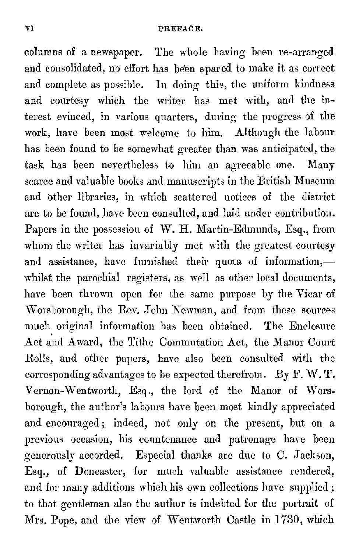columns of a newspaper. The whole having been re-arranged and consolidated, no effort has been spared to make it as correct and complete as possible. In doing this, the uniform kindness and courtesy which the writer has met with, and the interest evinced, in various quarters, during the progress of the work, have been most welcome to him. Although the labour has been found to be somewhat greater than was anticipated, the task has been nevertheless to him an agreeable one. Many scarce and valuable books and manuscripts in the British Museum and other libraries, in which scattered notices of the district are to be found, have been consulted, and laid under contribution. Papers in the possession of W. H. Martin-Edmunds, Esq., from whom the writer has invariably met with the greatest courtesy and assistance, have furnished their quota of information, whilst the parochial registers, as well as other local documents, have been thrown open for the same purpose by the Wicar of Worsborough, the Rev. John Newman, and from these sources much original information has been obtained. The Enclosure Act and Award, the Tithe Commutation Act, the Manor Court Rolls, and other papers, have also been consulted with the corresponding advantages to be expected therefrom. By F. W. T. Vernon-Wentworth, Esq., the lord of the Manor of Worsborough, the author's labours have been most kindly appreciated and encouraged ; indeed, not only on the present, but on a previous occasion, his countenance and patronage have been generously accorded. Especial thanks are due to C. Jackson, Esq., of Doncaster, for much valuable assistance rendered, and for many additions which his own collections have supplied ; to that gentleman also the author is indebted for the portrait of Mrs. Pope, and the view of Wentworth Castle in 1730, which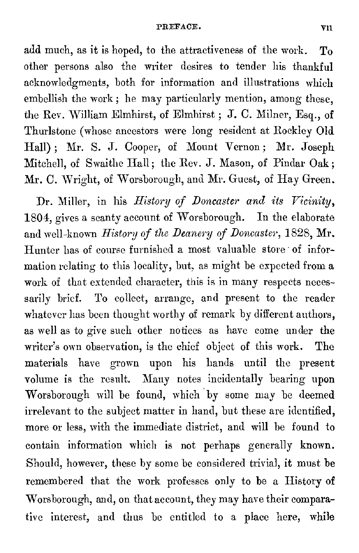#### PREFACE. VII

add much, as it is hoped, to the attractiveness of the work. To other persons also the writer desires to tender his thankful acknowledgments, both for information and illustrations which embellish the work; he may particularly mention, among these, the Rev. William Elmhirst, of Elmhirst ; J. C. Milner, Esq., of Thurlstone (whose ancestors were long resident at Rockley Old Hall) ; Mr. S. J. Cooper, of Mount Vernon ; Mr. Joseph Mitchell, of Swaithe Hall; the Rev. J. Mason, of Pindar Oak; Mr. C. Wright, of Worsborough, and Mr. Guest, of Hay Green.

Dr. Miller, in his *History of Doncaster and its Vicinity,*  1804, gives a scanty account of Worsborough. In the elaborate and well-known *History of the Deanery of Doncaster,* 1828, Mr. Hunter has of course furnished a most valuable store of information relating to this locality, but, as might be expected from a work of that extended character, this is in many respects necessarily brief. To collect, arrange, and present to the reader whatever has been thought worthy of remark by different authors, as well as to give such other notices as have come under the writer's own observation, is the chief object of this work. The materials have grown upon his bands until the present volume is the result. Many notes incidentally bearing upon Worsborough will be found, which by some may be deemed irrelevant to the subject matter in hand, but these are identified, more or less, with the immediate district, and will be found to contain information which is not perhaps generally known. Should, however, these by some be considered trivial, it must be remembered that the work professes only to be a History of Worsborough, and, on that account, they may have their comparative interest, and thus be entitled to a place here, while